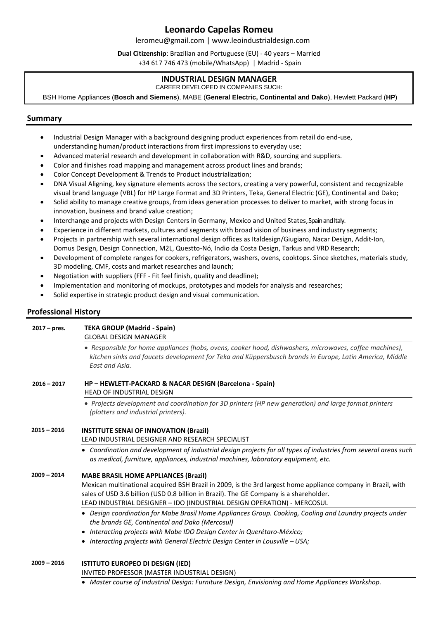# **Leonardo Capelas Romeu**

[leromeu@gmail.com |](mailto:leromeu@gmail.com) [www.leoindustrialdesign.com](http://www.leoindustrialdesign.com/)

**Dual Citizenship**: Brazilian and Portuguese (EU) - 40 years – Married +34 617 746 473 (mobile/WhatsApp) | Madrid - Spain

## **INDUSTRIAL DESIGN MANAGER**

CAREER DEVELOPED IN COMPANIES SUCH:

BSH Home Appliances (**Bosch and Siemens**), MABE (**General Electric, Continental and Dako**), Hewlett Packard (**HP**)

## **Summary**

- Industrial Design Manager with a background designing product experiences from retail do end-use, understanding human/product interactions from first impressions to everyday use;
- Advanced material research and development in collaboration with R&D, sourcing and suppliers.
- Color and finishes road mapping and management across product lines and brands;
- Color Concept Development & Trends to Product industrialization;
- DNA Visual Aligning, key signature elements across the sectors, creating a very powerful, consistent and recognizable visual brand language (VBL) for HP Large Format and 3D Printers, Teka, General Electric (GE), Continental and Dako;
- Solid ability to manage creative groups, from ideas generation processes to deliver to market, with strong focus in innovation, business and brand value creation;
- Interchange and projects with Design Centers in Germany, Mexico and United States, Spainand Italy.
- Experience in different markets, cultures and segments with broad vision of business and industry segments;
- Projects in partnership with several international design offices as Italdesign/Giugiaro, Nacar Design, Addit-Ion, Domus Design, Design Connection, M2L, Questto-Nó, Indio da Costa Design, Tarkus and VRD Research;
- Development of complete ranges for cookers, refrigerators, washers, ovens, cooktops. Since sketches, materials study, 3D modeling, CMF, costs and market researches and launch;
- Negotiation with suppliers (FFF Fit feel finish, quality and deadline);
- Implementation and monitoring of mockups, prototypes and models for analysis and researches;
- Solid expertise in strategic product design and visual communication.

## **Professional History**

| $2017 - pres.$ | <b>TEKA GROUP (Madrid - Spain)</b><br><b>GLOBAL DESIGN MANAGER</b>                                                                                                                                                                                                                                                               |
|----------------|----------------------------------------------------------------------------------------------------------------------------------------------------------------------------------------------------------------------------------------------------------------------------------------------------------------------------------|
|                | • Responsible for home appliances (hobs, ovens, cooker hood, dishwashers, microwaves, coffee machines),<br>kitchen sinks and faucets development for Teka and Küppersbusch brands in Europe, Latin America, Middle<br>East and Asia.                                                                                             |
| $2016 - 2017$  | HP - HEWLETT-PACKARD & NACAR DESIGN (Barcelona - Spain)<br><b>HEAD OF INDUSTRIAL DESIGN</b>                                                                                                                                                                                                                                      |
|                | • Projects development and coordination for 3D printers (HP new generation) and large format printers<br>(plotters and industrial printers).                                                                                                                                                                                     |
| $2015 - 2016$  | <b>INSTITUTE SENAI OF INNOVATION (Brazil)</b><br>LEAD INDUSTRIAL DESIGNER AND RESEARCH SPECIALIST                                                                                                                                                                                                                                |
|                | • Coordination and development of industrial design projects for all types of industries from several areas such<br>as medical, furniture, appliances, industrial machines, laboratory equipment, etc.                                                                                                                           |
| $2009 - 2014$  | <b>MABE BRASIL HOME APPLIANCES (Brazil)</b><br>Mexican multinational acquired BSH Brazil in 2009, is the 3rd largest home appliance company in Brazil, with<br>sales of USD 3.6 billion (USD 0.8 billion in Brazil). The GE Company is a shareholder.<br>LEAD INDUSTRIAL DESIGNER - IDO (INDUSTRIAL DESIGN OPERATION) - MERCOSUL |
|                | • Design coordination for Mabe Brasil Home Appliances Group. Cooking, Cooling and Laundry projects under<br>the brands GE, Continental and Dako (Mercosul)<br>• Interacting projects with Mabe IDO Design Center in Querétaro-México;<br>• Interacting projects with General Electric Design Center in Lousville $- USA$ ;       |
| $2009 - 2016$  | <b>ISTITUTO EUROPEO DI DESIGN (IED)</b>                                                                                                                                                                                                                                                                                          |

INVITED PROFESSOR (MASTER INDUSTRIAL DESIGN)

• *Master course of Industrial Design: Furniture Design, Envisioning and Home Appliances Workshop.*